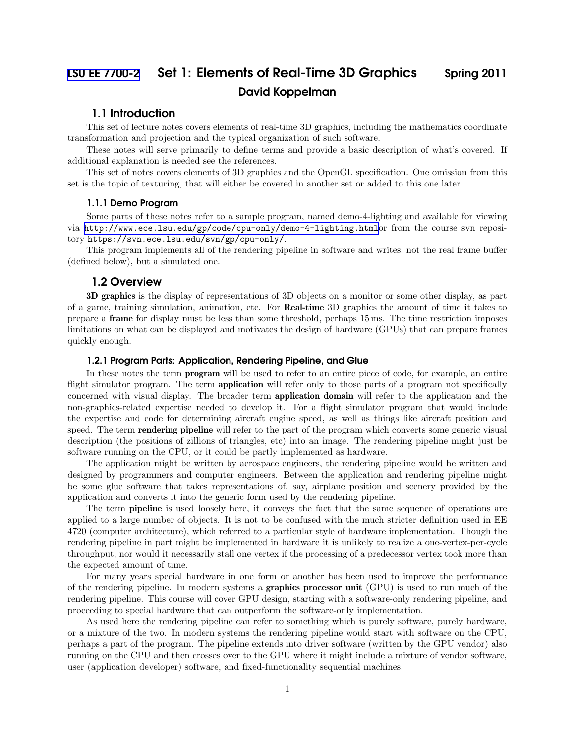# [LSU EE 7700-2](http://www.ece.lsu.edu/gp/) Set 1: Elements of Real-Time 3D Graphics Spring 2011 David Koppelman

# 1.1 Introduction

This set of lecture notes covers elements of real-time 3D graphics, including the mathematics coordinate transformation and projection and the typical organization of such software.

These notes will serve primarily to define terms and provide a basic description of what's covered. If additional explanation is needed see the references.

This set of notes covers elements of 3D graphics and the OpenGL specification. One omission from this set is the topic of texturing, that will either be covered in another set or added to this one later.

### 1.1.1 Demo Program

Some parts of these notes refer to a sample program, named demo-4-lighting and available for viewing via <http://www.ece.lsu.edu/gp/code/cpu-only/demo-4-lighting.html>or from the course svn repository https://svn.ece.lsu.edu/svn/gp/cpu-only/.

This program implements all of the rendering pipeline in software and writes, not the real frame buffer (defined below), but a simulated one.

# 1.2 Overview

3D graphics is the display of representations of 3D objects on a monitor or some other display, as part of a game, training simulation, animation, etc. For Real-time 3D graphics the amount of time it takes to prepare a frame for display must be less than some threshold, perhaps 15 ms. The time restriction imposes limitations on what can be displayed and motivates the design of hardware (GPUs) that can prepare frames quickly enough.

## 1.2.1 Program Parts: Application, Rendering Pipeline, and Glue

In these notes the term **program** will be used to refer to an entire piece of code, for example, an entire flight simulator program. The term **application** will refer only to those parts of a program not specifically concerned with visual display. The broader term application domain will refer to the application and the non-graphics-related expertise needed to develop it. For a flight simulator program that would include the expertise and code for determining aircraft engine speed, as well as things like aircraft position and speed. The term rendering pipeline will refer to the part of the program which converts some generic visual description (the positions of zillions of triangles, etc) into an image. The rendering pipeline might just be software running on the CPU, or it could be partly implemented as hardware.

The application might be written by aerospace engineers, the rendering pipeline would be written and designed by programmers and computer engineers. Between the application and rendering pipeline might be some glue software that takes representations of, say, airplane position and scenery provided by the application and converts it into the generic form used by the rendering pipeline.

The term pipeline is used loosely here, it conveys the fact that the same sequence of operations are applied to a large number of objects. It is not to be confused with the much stricter definition used in EE 4720 (computer architecture), which referred to a particular style of hardware implementation. Though the rendering pipeline in part might be implemented in hardware it is unlikely to realize a one-vertex-per-cycle throughput, nor would it necessarily stall one vertex if the processing of a predecessor vertex took more than the expected amount of time.

For many years special hardware in one form or another has been used to improve the performance of the rendering pipeline. In modern systems a graphics processor unit (GPU) is used to run much of the rendering pipeline. This course will cover GPU design, starting with a software-only rendering pipeline, and proceeding to special hardware that can outperform the software-only implementation.

As used here the rendering pipeline can refer to something which is purely software, purely hardware, or a mixture of the two. In modern systems the rendering pipeline would start with software on the CPU, perhaps a part of the program. The pipeline extends into driver software (written by the GPU vendor) also running on the CPU and then crosses over to the GPU where it might include a mixture of vendor software, user (application developer) software, and fixed-functionality sequential machines.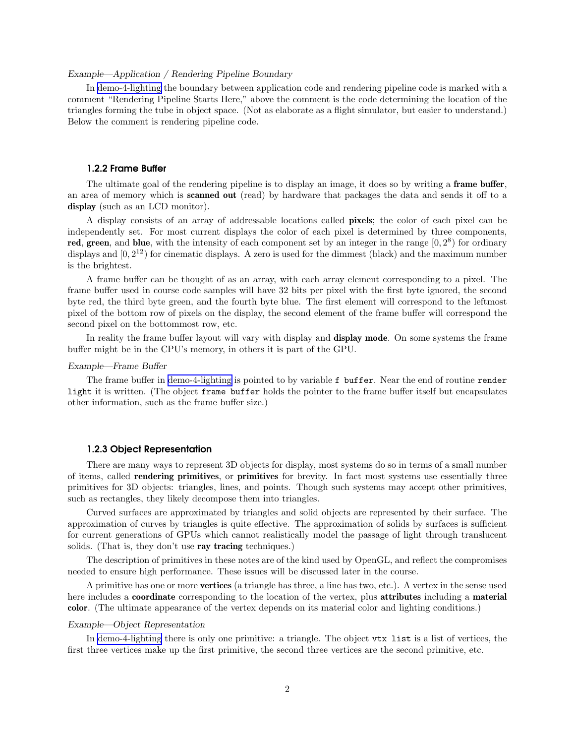### Example—Application / Rendering Pipeline Boundary

In [demo-4-lighting](http://www.ece.lsu.edu/gp/code/cpu-only/demo-4-lighting.html) the boundary between application code and rendering pipeline code is marked with a comment "Rendering Pipeline Starts Here," above the comment is the code determining the location of the triangles forming the tube in object space. (Not as elaborate as a flight simulator, but easier to understand.) Below the comment is rendering pipeline code.

#### 1.2.2 Frame Buffer

The ultimate goal of the rendering pipeline is to display an image, it does so by writing a frame buffer, an area of memory which is scanned out (read) by hardware that packages the data and sends it off to a display (such as an LCD monitor).

A display consists of an array of addressable locations called pixels; the color of each pixel can be independently set. For most current displays the color of each pixel is determined by three components, red, green, and blue, with the intensity of each component set by an integer in the range  $[0, 2^8)$  for ordinary displays and  $[0, 2^{12})$  for cinematic displays. A zero is used for the dimmest (black) and the maximum number is the brightest.

A frame buffer can be thought of as an array, with each array element corresponding to a pixel. The frame buffer used in course code samples will have 32 bits per pixel with the first byte ignored, the second byte red, the third byte green, and the fourth byte blue. The first element will correspond to the leftmost pixel of the bottom row of pixels on the display, the second element of the frame buffer will correspond the second pixel on the bottommost row, etc.

In reality the frame buffer layout will vary with display and **display mode**. On some systems the frame buffer might be in the CPU's memory, in others it is part of the GPU.

#### Example—Frame Buffer

The frame buffer in [demo-4-lighting](http://www.ece.lsu.edu/gp/code/cpu-only/demo-4-lighting.html) is pointed to by variable f buffer. Near the end of routine render light it is written. (The object frame buffer holds the pointer to the frame buffer itself but encapsulates other information, such as the frame buffer size.)

### 1.2.3 Object Representation

There are many ways to represent 3D objects for display, most systems do so in terms of a small number of items, called rendering primitives, or primitives for brevity. In fact most systems use essentially three primitives for 3D objects: triangles, lines, and points. Though such systems may accept other primitives, such as rectangles, they likely decompose them into triangles.

Curved surfaces are approximated by triangles and solid objects are represented by their surface. The approximation of curves by triangles is quite effective. The approximation of solids by surfaces is sufficient for current generations of GPUs which cannot realistically model the passage of light through translucent solids. (That is, they don't use ray tracing techniques.)

The description of primitives in these notes are of the kind used by OpenGL, and reflect the compromises needed to ensure high performance. These issues will be discussed later in the course.

A primitive has one or more vertices (a triangle has three, a line has two, etc.). A vertex in the sense used here includes a **coordinate** corresponding to the location of the vertex, plus **attributes** including a **material** color. (The ultimate appearance of the vertex depends on its material color and lighting conditions.)

#### Example—Object Representation

In [demo-4-lighting](http://www.ece.lsu.edu/gp/code/cpu-only/demo-4-lighting.html) there is only one primitive: a triangle. The object vtx list is a list of vertices, the first three vertices make up the first primitive, the second three vertices are the second primitive, etc.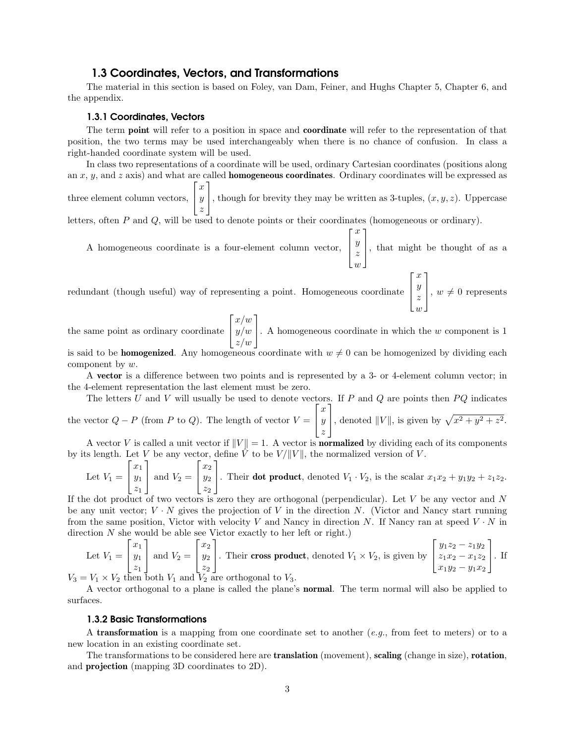# 1.3 Coordinates, Vectors, and Transformations

The material in this section is based on Foley, van Dam, Feiner, and Hughs Chapter 5, Chapter 6, and the appendix.

### 1.3.1 Coordinates, Vectors

The term **point** will refer to a position in space and **coordinate** will refer to the representation of that position, the two terms may be used interchangeably when there is no chance of confusion. In class a right-handed coordinate system will be used.

In class two representations of a coordinate will be used, ordinary Cartesian coordinates (positions along an  $x, y$ , and  $z$  axis) and what are called **homogeneous coordinates**. Ordinary coordinates will be expressed as

three element column vectors,  $\lceil$  $\overline{1}$  $\boldsymbol{x}$  $\hat{y}$ z 1 , though for brevity they may be written as 3-tuples,  $(x, y, z)$ . Uppercase

letters, often P and Q, will be used to denote points or their coordinates (homogeneous or ordinary).

A homogeneous coordinate is a four-element column vector,  $\lceil$  $\Big\}$  $\overline{y}$ z w 1 , that might be thought of as a

 $\boldsymbol{x}$ 

redundant (though useful) way of representing a point. Homogeneous coordinate  $\sqrt{ }$  $\overline{\phantom{a}}$  $\boldsymbol{x}$  $\hat{y}$ z w 1  $\Big\}, w \neq 0$  represents

the same point as ordinary coordinate  $\sqrt{ }$  $\overline{1}$  $x/w$  $y/w$ z/w 1  $\big|$ . A homogeneous coordinate in which the w component is 1

is said to be **homogenized**. Any homogeneous coordinate with  $w \neq 0$  can be homogenized by dividing each component by w.

A vector is a difference between two points and is represented by a 3- or 4-element column vector; in the 4-element representation the last element must be zero.

The letters  $U$  and  $V$  will usually be used to denote vectors. If  $P$  and  $Q$  are points then  $PQ$  indicates  $\sqrt{ }$  $\boldsymbol{x}$ 1

the vector  $Q - P$  (from P to Q). The length of vector  $V =$  $\overline{1}$  $\hat{y}$ z , denoted  $||V||$ , is given by  $\sqrt{x^2 + y^2 + z^2}$ .

A vector V is called a unit vector if  $||V|| = 1$ . A vector is **normalized** by dividing each of its components by its length. Let V be any vector, define  $\hat{V}$  to be  $V/\|V\|$ , the normalized version of V.

Let 
$$
V_1 = \begin{bmatrix} x_1 \\ y_1 \\ z_1 \end{bmatrix}
$$
 and  $V_2 = \begin{bmatrix} x_2 \\ y_2 \\ z_2 \end{bmatrix}$ . Their **dot product**, denoted  $V_1 \cdot V_2$ , is the scalar  $x_1x_2 + y_1y_2 + z_1z_2$ .

If the dot product of two vectors is zero they are orthogonal (perpendicular). Let  $V$  be any vector and  $N$ be any unit vector;  $V \cdot N$  gives the projection of V in the direction N. (Victor and Nancy start running from the same position, Victor with velocity V and Nancy in direction N. If Nancy ran at speed  $V \cdot N$  in direction  $N$  she would be able see Victor exactly to her left or right.)

Let 
$$
V_1 = \begin{bmatrix} x_1 \\ y_1 \\ z_1 \end{bmatrix}
$$
 and  $V_2 = \begin{bmatrix} x_2 \\ y_2 \\ z_2 \end{bmatrix}$ . Their **cross product**, denoted  $V_1 \times V_2$ , is given by  $\begin{bmatrix} y_1z_2 - z_1y_2 \\ z_1x_2 - x_1z_2 \\ x_1y_2 - y_1x_2 \end{bmatrix}$ . If  $V_3 = V_1 \times V_2$  then both  $V_1$  and  $V_2$  are orthogonal to  $V_3$ .

A vector orthogonal to a plane is called the plane's normal. The term normal will also be applied to surfaces.

#### 1.3.2 Basic Transformations

A **transformation** is a mapping from one coordinate set to another  $(e,q)$ , from feet to meters) or to a new location in an existing coordinate set.

The transformations to be considered here are **translation** (movement), scaling (change in size), rotation, and projection (mapping 3D coordinates to 2D).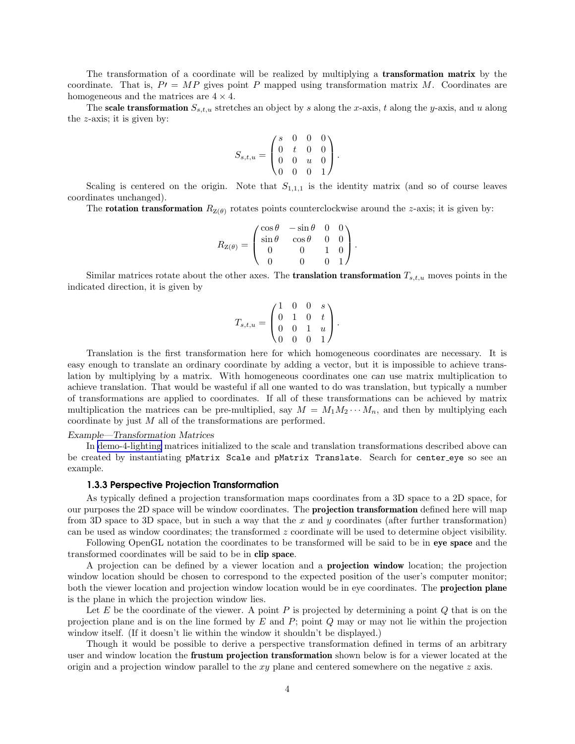The transformation of a coordinate will be realized by multiplying a **transformation matrix** by the coordinate. That is,  $P' = MP$  gives point P mapped using transformation matrix M. Coordinates are homogeneous and the matrices are  $4 \times 4$ .

The scale transformation  $S_{s,t,u}$  stretches an object by s along the x-axis, t along the y-axis, and u along the  $z$ -axis; it is given by:

$$
S_{s,t,u} = \begin{pmatrix} s & 0 & 0 & 0 \\ 0 & t & 0 & 0 \\ 0 & 0 & u & 0 \\ 0 & 0 & 0 & 1 \end{pmatrix}.
$$

Scaling is centered on the origin. Note that  $S_{1,1,1}$  is the identity matrix (and so of course leaves coordinates unchanged).

The **rotation transformation**  $R_{\mathbf{Z}(\theta)}$  rotates points counterclockwise around the *z*-axis; it is given by:

$$
R_{\mathrm{Z}(\theta)} = \begin{pmatrix} \cos \theta & -\sin \theta & 0 & 0 \\ \sin \theta & \cos \theta & 0 & 0 \\ 0 & 0 & 1 & 0 \\ 0 & 0 & 0 & 1 \end{pmatrix}.
$$

Similar matrices rotate about the other axes. The **translation transformation**  $T_{s,t,u}$  moves points in the indicated direction, it is given by

$$
T_{s,t,u} = \begin{pmatrix} 1 & 0 & 0 & s \\ 0 & 1 & 0 & t \\ 0 & 0 & 1 & u \\ 0 & 0 & 0 & 1 \end{pmatrix}.
$$

Translation is the first transformation here for which homogeneous coordinates are necessary. It is easy enough to translate an ordinary coordinate by adding a vector, but it is impossible to achieve translation by multiplying by a matrix. With homogeneous coordinates one can use matrix multiplication to achieve translation. That would be wasteful if all one wanted to do was translation, but typically a number of transformations are applied to coordinates. If all of these transformations can be achieved by matrix multiplication the matrices can be pre-multiplied, say  $M = M_1 M_2 \cdots M_n$ , and then by multiplying each coordinate by just M all of the transformations are performed.

### Example—Transformation Matrices

In [demo-4-lighting](http://www.ece.lsu.edu/gp/code/cpu-only/demo-4-lighting.html) matrices initialized to the scale and translation transformations described above can be created by instantiating pMatrix Scale and pMatrix Translate. Search for center eye so see an example.

#### 1.3.3 Perspective Projection Transformation

As typically defined a projection transformation maps coordinates from a 3D space to a 2D space, for our purposes the 2D space will be window coordinates. The projection transformation defined here will map from 3D space to 3D space, but in such a way that the x and y coordinates (after further transformation) can be used as window coordinates; the transformed z coordinate will be used to determine object visibility.

Following OpenGL notation the coordinates to be transformed will be said to be in eye space and the transformed coordinates will be said to be in clip space.

A projection can be defined by a viewer location and a projection window location; the projection window location should be chosen to correspond to the expected position of the user's computer monitor; both the viewer location and projection window location would be in eye coordinates. The **projection plane** is the plane in which the projection window lies.

Let  $E$  be the coordinate of the viewer. A point  $P$  is projected by determining a point  $Q$  that is on the projection plane and is on the line formed by  $E$  and  $P$ ; point  $Q$  may or may not lie within the projection window itself. (If it doesn't lie within the window it shouldn't be displayed.)

Though it would be possible to derive a perspective transformation defined in terms of an arbitrary user and window location the **frustum projection transformation** shown below is for a viewer located at the origin and a projection window parallel to the  $xy$  plane and centered somewhere on the negative  $z$  axis.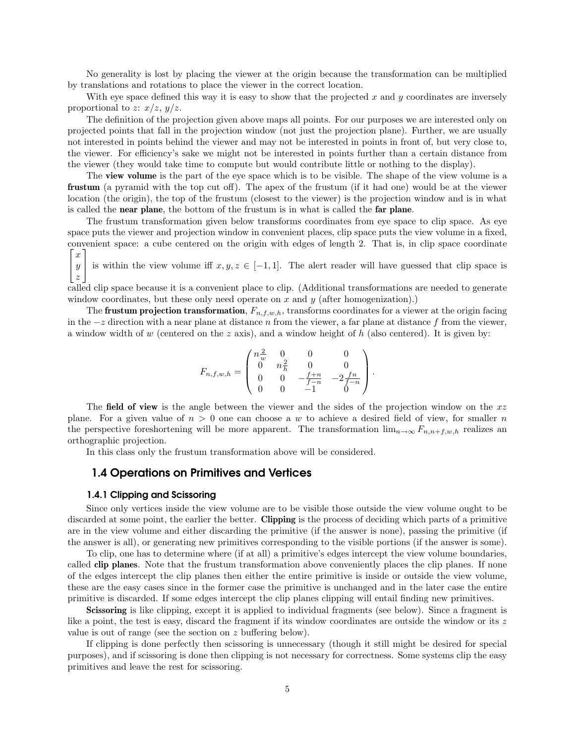No generality is lost by placing the viewer at the origin because the transformation can be multiplied by translations and rotations to place the viewer in the correct location.

With eye space defined this way it is easy to show that the projected x and y coordinates are inversely proportional to z:  $x/z$ ,  $y/z$ .

The definition of the projection given above maps all points. For our purposes we are interested only on projected points that fall in the projection window (not just the projection plane). Further, we are usually not interested in points behind the viewer and may not be interested in points in front of, but very close to, the viewer. For efficiency's sake we might not be interested in points further than a certain distance from the viewer (they would take time to compute but would contribute little or nothing to the display).

The **view volume** is the part of the eye space which is to be visible. The shape of the view volume is a frustum (a pyramid with the top cut off). The apex of the frustum (if it had one) would be at the viewer location (the origin), the top of the frustum (closest to the viewer) is the projection window and is in what is called the near plane, the bottom of the frustum is in what is called the far plane.

The frustum transformation given below transforms coordinates from eye space to clip space. As eye space puts the viewer and projection window in convenient places, clip space puts the view volume in a fixed, convenient space: a cube centered on the origin with edges of length 2. That is, in clip space coordinate  $\sqrt{ }$ x 1

 $\overline{1}$  $\boldsymbol{y}$ z is within the view volume iff  $x, y, z \in [-1, 1]$ . The alert reader will have guessed that clip space is

called clip space because it is a convenient place to clip. (Additional transformations are needed to generate window coordinates, but these only need operate on  $x$  and  $y$  (after homogenization).)

The **frustum projection transformation**,  $F_{n,f,w,h}$ , transforms coordinates for a viewer at the origin facing in the  $-z$  direction with a near plane at distance n from the viewer, a far plane at distance f from the viewer, a window width of w (centered on the z axis), and a window height of h (also centered). It is given by:

$$
F_{n,f,w,h} = \begin{pmatrix} n\frac{2}{w} & 0 & 0 & 0 \\ 0 & n\frac{2}{h} & 0 & 0 \\ 0 & 0 & -\frac{f+n}{f-n} & -2\frac{fn}{f-n} \\ 0 & 0 & -1 & 0 \end{pmatrix}.
$$

The field of view is the angle between the viewer and the sides of the projection window on the  $xz$ plane. For a given value of  $n > 0$  one can choose a w to achieve a desired field of view, for smaller n the perspective foreshortening will be more apparent. The transformation  $\lim_{n\to\infty} F_{n,n+f,w,h}$  realizes an orthographic projection.

In this class only the frustum transformation above will be considered.

# 1.4 Operations on Primitives and Vertices

### 1.4.1 Clipping and Scissoring

Since only vertices inside the view volume are to be visible those outside the view volume ought to be discarded at some point, the earlier the better. Clipping is the process of deciding which parts of a primitive are in the view volume and either discarding the primitive (if the answer is none), passing the primitive (if the answer is all), or generating new primitives corresponding to the visible portions (if the answer is some).

To clip, one has to determine where (if at all) a primitive's edges intercept the view volume boundaries, called **clip planes**. Note that the frustum transformation above conveniently places the clip planes. If none of the edges intercept the clip planes then either the entire primitive is inside or outside the view volume, these are the easy cases since in the former case the primitive is unchanged and in the later case the entire primitive is discarded. If some edges intercept the clip planes clipping will entail finding new primitives.

Scissoring is like clipping, except it is applied to individual fragments (see below). Since a fragment is like a point, the test is easy, discard the fragment if its window coordinates are outside the window or its z value is out of range (see the section on z buffering below).

If clipping is done perfectly then scissoring is unnecessary (though it still might be desired for special purposes), and if scissoring is done then clipping is not necessary for correctness. Some systems clip the easy primitives and leave the rest for scissoring.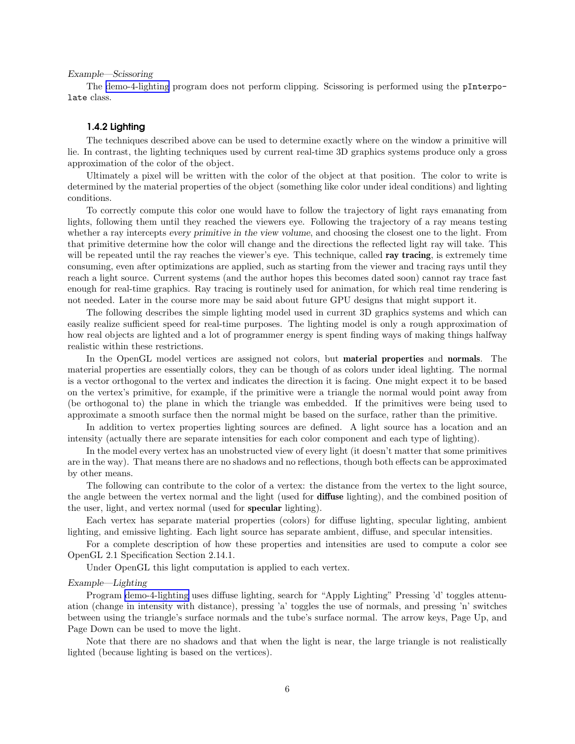#### Example—Scissoring

The [demo-4-lighting](http://www.ece.lsu.edu/gp/code/cpu-only/demo-4-lighting.html) program does not perform clipping. Scissoring is performed using the pInterpolate class.

### 1.4.2 Lighting

The techniques described above can be used to determine exactly where on the window a primitive will lie. In contrast, the lighting techniques used by current real-time 3D graphics systems produce only a gross approximation of the color of the object.

Ultimately a pixel will be written with the color of the object at that position. The color to write is determined by the material properties of the object (something like color under ideal conditions) and lighting conditions.

To correctly compute this color one would have to follow the trajectory of light rays emanating from lights, following them until they reached the viewers eye. Following the trajectory of a ray means testing whether a ray intercepts every primitive in the view volume, and choosing the closest one to the light. From that primitive determine how the color will change and the directions the reflected light ray will take. This will be repeated until the ray reaches the viewer's eye. This technique, called ray tracing, is extremely time consuming, even after optimizations are applied, such as starting from the viewer and tracing rays until they reach a light source. Current systems (and the author hopes this becomes dated soon) cannot ray trace fast enough for real-time graphics. Ray tracing is routinely used for animation, for which real time rendering is not needed. Later in the course more may be said about future GPU designs that might support it.

The following describes the simple lighting model used in current 3D graphics systems and which can easily realize sufficient speed for real-time purposes. The lighting model is only a rough approximation of how real objects are lighted and a lot of programmer energy is spent finding ways of making things halfway realistic within these restrictions.

In the OpenGL model vertices are assigned not colors, but **material properties** and **normals**. The material properties are essentially colors, they can be though of as colors under ideal lighting. The normal is a vector orthogonal to the vertex and indicates the direction it is facing. One might expect it to be based on the vertex's primitive, for example, if the primitive were a triangle the normal would point away from (be orthogonal to) the plane in which the triangle was embedded. If the primitives were being used to approximate a smooth surface then the normal might be based on the surface, rather than the primitive.

In addition to vertex properties lighting sources are defined. A light source has a location and an intensity (actually there are separate intensities for each color component and each type of lighting).

In the model every vertex has an unobstructed view of every light (it doesn't matter that some primitives are in the way). That means there are no shadows and no reflections, though both effects can be approximated by other means.

The following can contribute to the color of a vertex: the distance from the vertex to the light source, the angle between the vertex normal and the light (used for **diffuse** lighting), and the combined position of the user, light, and vertex normal (used for specular lighting).

Each vertex has separate material properties (colors) for diffuse lighting, specular lighting, ambient lighting, and emissive lighting. Each light source has separate ambient, diffuse, and specular intensities.

For a complete description of how these properties and intensities are used to compute a color see OpenGL 2.1 Specification Section 2.14.1.

Under OpenGL this light computation is applied to each vertex.

#### Example—Lighting

Program [demo-4-lighting](http://www.ece.lsu.edu/gp/code/cpu-only/demo-4-lighting.html) uses diffuse lighting, search for "Apply Lighting" Pressing 'd' toggles attenuation (change in intensity with distance), pressing 'a' toggles the use of normals, and pressing 'n' switches between using the triangle's surface normals and the tube's surface normal. The arrow keys, Page Up, and Page Down can be used to move the light.

Note that there are no shadows and that when the light is near, the large triangle is not realistically lighted (because lighting is based on the vertices).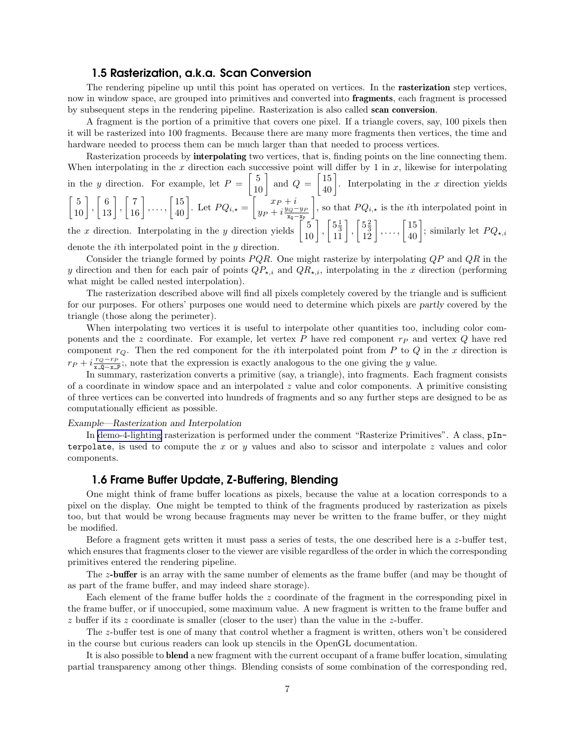# 1.5 Rasterization, a.k.a. Scan Conversion

The rendering pipeline up until this point has operated on vertices. In the **rasterization** step vertices, now in window space, are grouped into primitives and converted into fragments, each fragment is processed by subsequent steps in the rendering pipeline. Rasterization is also called scan conversion.

A fragment is the portion of a primitive that covers one pixel. If a triangle covers, say, 100 pixels then it will be rasterized into 100 fragments. Because there are many more fragments then vertices, the time and hardware needed to process them can be much larger than that needed to process vertices.

Rasterization proceeds by **interpolating** two vertices, that is, finding points on the line connecting them. When interpolating in the  $x$  direction each successive point will differ by 1 in  $x$ , likewise for interpolating in the y direction. For example, let  $P = \begin{bmatrix} 5 \\ 10 \end{bmatrix}$  and  $Q = \begin{bmatrix} 15 \\ 40 \end{bmatrix}$ . Interpolating in the x direction yields

$$
\begin{bmatrix} 5 \\ 10 \end{bmatrix}, \begin{bmatrix} 6 \\ 13 \end{bmatrix}, \begin{bmatrix} 7 \\ 16 \end{bmatrix}, \dots, \begin{bmatrix} 15 \\ 40 \end{bmatrix}.
$$
 Let  $PQ_{i,\star} = \begin{bmatrix} x_{P} + i \\ y_{P} + i\frac{y_{Q} - y_{P}}{x_{0} - x_{P}} \end{bmatrix}$ , so that  $PQ_{i,\star}$  is the *i*th interpolated point in

the x direction. Interpolating in the y direction yields  $\begin{bmatrix} 5 \\ 10 \end{bmatrix}$ ,  $\begin{bmatrix} 5\frac{1}{3} \\ 11 \end{bmatrix}$ ,  $\begin{bmatrix} 5\frac{2}{3} \\ 12 \end{bmatrix}$ ,...,  $\begin{bmatrix} 15 \\ 40 \end{bmatrix}$ ; similarly let  $PQ_{\star,i}$ denote the ith interpolated point in the y direction.

Consider the triangle formed by points  $PQR$ . One might rasterize by interpolating  $QP$  and  $QR$  in the y direction and then for each pair of points  $QP_{\star,i}$  and  $QR_{\star,i}$ , interpolating in the x direction (performing what might be called nested interpolation).

The rasterization described above will find all pixels completely covered by the triangle and is sufficient for our purposes. For others' purposes one would need to determine which pixels are partly covered by the triangle (those along the perimeter).

When interpolating two vertices it is useful to interpolate other quantities too, including color components and the z coordinate. For example, let vertex  $P$  have red component  $r_P$  and vertex  $Q$  have red component  $r_Q$ . Then the red component for the *i*th interpolated point from P to Q in the x direction is  $r_P + i \frac{r_Q - r_P}{x_Q - x_P};$ , note that the expression is exactly analogous to the one giving the y value.

In summary, rasterization converts a primitive (say, a triangle), into fragments. Each fragment consists of a coordinate in window space and an interpolated  $z$  value and color components. A primitive consisting of three vertices can be converted into hundreds of fragments and so any further steps are designed to be as computationally efficient as possible.

### Example—Rasterization and Interpolation

In [demo-4-lighting](http://www.ece.lsu.edu/gp/code/cpu-only/demo-4-lighting.html) rasterization is performed under the comment "Rasterize Primitives". A class, pInterpolate, is used to compute the x or y values and also to scissor and interpolate z values and color components.

# 1.6 Frame Buffer Update, Z-Buffering, Blending

One might think of frame buffer locations as pixels, because the value at a location corresponds to a pixel on the display. One might be tempted to think of the fragments produced by rasterization as pixels too, but that would be wrong because fragments may never be written to the frame buffer, or they might be modified.

Before a fragment gets written it must pass a series of tests, the one described here is a z-buffer test, which ensures that fragments closer to the viewer are visible regardless of the order in which the corresponding primitives entered the rendering pipeline.

The z-buffer is an array with the same number of elements as the frame buffer (and may be thought of as part of the frame buffer, and may indeed share storage).

Each element of the frame buffer holds the z coordinate of the fragment in the corresponding pixel in the frame buffer, or if unoccupied, some maximum value. A new fragment is written to the frame buffer and  $z$  buffer if its  $z$  coordinate is smaller (closer to the user) than the value in the  $z$ -buffer.

The z-buffer test is one of many that control whether a fragment is written, others won't be considered in the course but curious readers can look up stencils in the OpenGL documentation.

It is also possible to blend a new fragment with the current occupant of a frame buffer location, simulating partial transparency among other things. Blending consists of some combination of the corresponding red,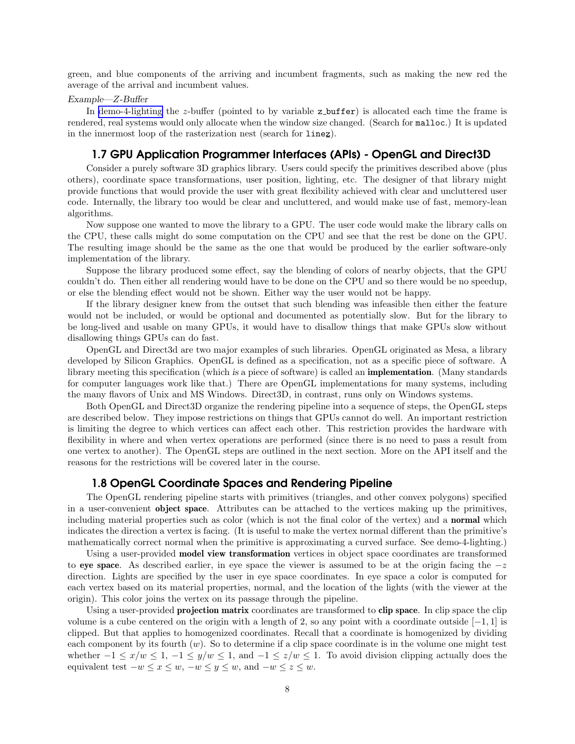green, and blue components of the arriving and incumbent fragments, such as making the new red the average of the arrival and incumbent values.

#### Example—Z-Buffer

In [demo-4-lighting](http://www.ece.lsu.edu/gp/code/cpu-only/demo-4-lighting.html) the z-buffer (pointed to by variable z buffer) is allocated each time the frame is rendered, real systems would only allocate when the window size changed. (Search for malloc.) It is updated in the innermost loop of the rasterization nest (search for linez).

# 1.7 GPU Application Programmer Interfaces (APIs) - OpenGL and Direct3D

Consider a purely software 3D graphics library. Users could specify the primitives described above (plus others), coordinate space transformations, user position, lighting, etc. The designer of that library might provide functions that would provide the user with great flexibility achieved with clear and uncluttered user code. Internally, the library too would be clear and uncluttered, and would make use of fast, memory-lean algorithms.

Now suppose one wanted to move the library to a GPU. The user code would make the library calls on the CPU, these calls might do some computation on the CPU and see that the rest be done on the GPU. The resulting image should be the same as the one that would be produced by the earlier software-only implementation of the library.

Suppose the library produced some effect, say the blending of colors of nearby objects, that the GPU couldn't do. Then either all rendering would have to be done on the CPU and so there would be no speedup, or else the blending effect would not be shown. Either way the user would not be happy.

If the library designer knew from the outset that such blending was infeasible then either the feature would not be included, or would be optional and documented as potentially slow. But for the library to be long-lived and usable on many GPUs, it would have to disallow things that make GPUs slow without disallowing things GPUs can do fast.

OpenGL and Direct3d are two major examples of such libraries. OpenGL originated as Mesa, a library developed by Silicon Graphics. OpenGL is defined as a specification, not as a specific piece of software. A library meeting this specification (which is a piece of software) is called an **implementation**. (Many standards for computer languages work like that.) There are OpenGL implementations for many systems, including the many flavors of Unix and MS Windows. Direct3D, in contrast, runs only on Windows systems.

Both OpenGL and Direct3D organize the rendering pipeline into a sequence of steps, the OpenGL steps are described below. They impose restrictions on things that GPUs cannot do well. An important restriction is limiting the degree to which vertices can affect each other. This restriction provides the hardware with flexibility in where and when vertex operations are performed (since there is no need to pass a result from one vertex to another). The OpenGL steps are outlined in the next section. More on the API itself and the reasons for the restrictions will be covered later in the course.

# 1.8 OpenGL Coordinate Spaces and Rendering Pipeline

The OpenGL rendering pipeline starts with primitives (triangles, and other convex polygons) specified in a user-convenient object space. Attributes can be attached to the vertices making up the primitives, including material properties such as color (which is not the final color of the vertex) and a normal which indicates the direction a vertex is facing. (It is useful to make the vertex normal different than the primitive's mathematically correct normal when the primitive is approximating a curved surface. See demo-4-lighting.)

Using a user-provided model view transformation vertices in object space coordinates are transformed to eye space. As described earlier, in eye space the viewer is assumed to be at the origin facing the  $-z$ direction. Lights are specified by the user in eye space coordinates. In eye space a color is computed for each vertex based on its material properties, normal, and the location of the lights (with the viewer at the origin). This color joins the vertex on its passage through the pipeline.

Using a user-provided **projection matrix** coordinates are transformed to **clip space**. In clip space the clip volume is a cube centered on the origin with a length of 2, so any point with a coordinate outside  $[-1, 1]$  is clipped. But that applies to homogenized coordinates. Recall that a coordinate is homogenized by dividing each component by its fourth  $(w)$ . So to determine if a clip space coordinate is in the volume one might test whether  $-1 \le x/w \le 1$ ,  $-1 \le y/w \le 1$ , and  $-1 \le z/w \le 1$ . To avoid division clipping actually does the equivalent test  $-w \le x \le w$ ,  $-w \le y \le w$ , and  $-w \le z \le w$ .